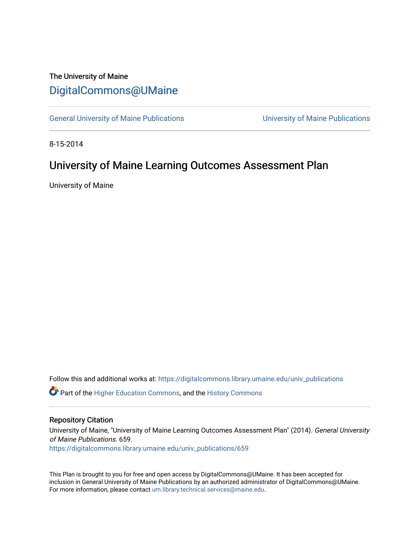## The University of Maine [DigitalCommons@UMaine](https://digitalcommons.library.umaine.edu/)

[General University of Maine Publications](https://digitalcommons.library.umaine.edu/univ_publications) [University of Maine Publications](https://digitalcommons.library.umaine.edu/umaine_publications) 

8-15-2014

# University of Maine Learning Outcomes Assessment Plan

University of Maine

Follow this and additional works at: [https://digitalcommons.library.umaine.edu/univ\\_publications](https://digitalcommons.library.umaine.edu/univ_publications?utm_source=digitalcommons.library.umaine.edu%2Funiv_publications%2F659&utm_medium=PDF&utm_campaign=PDFCoverPages) 

**C** Part of the [Higher Education Commons,](http://network.bepress.com/hgg/discipline/1245?utm_source=digitalcommons.library.umaine.edu%2Funiv_publications%2F659&utm_medium=PDF&utm_campaign=PDFCoverPages) and the [History Commons](http://network.bepress.com/hgg/discipline/489?utm_source=digitalcommons.library.umaine.edu%2Funiv_publications%2F659&utm_medium=PDF&utm_campaign=PDFCoverPages)

#### Repository Citation

University of Maine, "University of Maine Learning Outcomes Assessment Plan" (2014). General University of Maine Publications. 659.

[https://digitalcommons.library.umaine.edu/univ\\_publications/659](https://digitalcommons.library.umaine.edu/univ_publications/659?utm_source=digitalcommons.library.umaine.edu%2Funiv_publications%2F659&utm_medium=PDF&utm_campaign=PDFCoverPages) 

This Plan is brought to you for free and open access by DigitalCommons@UMaine. It has been accepted for inclusion in General University of Maine Publications by an authorized administrator of DigitalCommons@UMaine. For more information, please contact [um.library.technical.services@maine.edu](mailto:um.library.technical.services@maine.edu).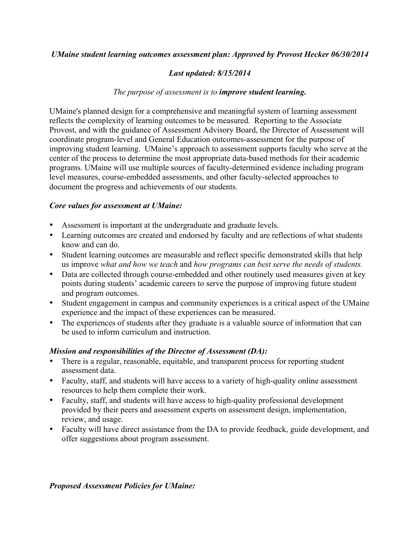#### *UMaine student learning outcomes assessment plan: Approved by Provost Hecker 06/30/2014*

#### *Last updated: 8/15/2014*

#### *The purpose of assessment is to improve student learning.*

UMaine's planned design for a comprehensive and meaningful system of learning assessment reflects the complexity of learning outcomes to be measured. Reporting to the Associate Provost, and with the guidance of Assessment Advisory Board, the Director of Assessment will coordinate program-level and General Education outcomes-assessment for the purpose of improving student learning. UMaine's approach to assessment supports faculty who serve at the center of the process to determine the most appropriate data-based methods for their academic programs. UMaine will use multiple sources of faculty-determined evidence including program level measures, course-embedded assessments, and other faculty-selected approaches to document the progress and achievements of our students.

#### *Core values for assessment at UMaine:*

- Assessment is important at the undergraduate and graduate levels.
- Learning outcomes are created and endorsed by faculty and are reflections of what students know and can do.
- Student learning outcomes are measurable and reflect specific demonstrated skills that help us improve *what and how we teach* and *how programs can best serve the needs of students.*
- Data are collected through course-embedded and other routinely used measures given at key points during students' academic careers to serve the purpose of improving future student and program outcomes.
- Student engagement in campus and community experiences is a critical aspect of the UMaine experience and the impact of these experiences can be measured.
- The experiences of students after they graduate is a valuable source of information that can be used to inform curriculum and instruction.

#### *Mission and responsibilities of the Director of Assessment (DA):*

- There is a regular, reasonable, equitable, and transparent process for reporting student assessment data.
- Faculty, staff, and students will have access to a variety of high-quality online assessment resources to help them complete their work.
- Faculty, staff, and students will have access to high-quality professional development provided by their peers and assessment experts on assessment design, implementation, review, and usage.
- Faculty will have direct assistance from the DA to provide feedback, guide development, and offer suggestions about program assessment.

#### *Proposed Assessment Policies for UMaine:*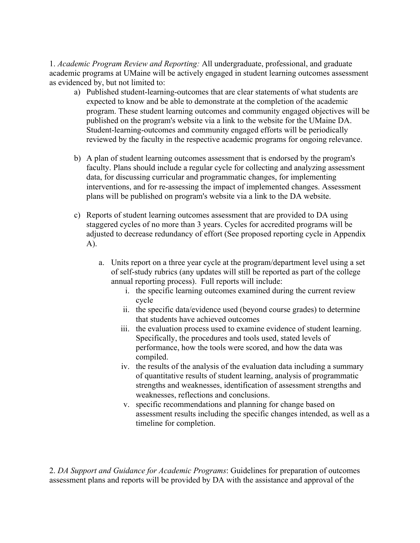1. *Academic Program Review and Reporting:* All undergraduate, professional, and graduate academic programs at UMaine will be actively engaged in student learning outcomes assessment as evidenced by, but not limited to:

- a) Published student-learning-outcomes that are clear statements of what students are expected to know and be able to demonstrate at the completion of the academic program. These student learning outcomes and community engaged objectives will be published on the program's website via a link to the website for the UMaine DA. Student-learning-outcomes and community engaged efforts will be periodically reviewed by the faculty in the respective academic programs for ongoing relevance.
- b) A plan of student learning outcomes assessment that is endorsed by the program's faculty. Plans should include a regular cycle for collecting and analyzing assessment data, for discussing curricular and programmatic changes, for implementing interventions, and for re-assessing the impact of implemented changes. Assessment plans will be published on program's website via a link to the DA website.
- c) Reports of student learning outcomes assessment that are provided to DA using staggered cycles of no more than 3 years. Cycles for accredited programs will be adjusted to decrease redundancy of effort (See proposed reporting cycle in Appendix A).
	- a. Units report on a three year cycle at the program/department level using a set of self-study rubrics (any updates will still be reported as part of the college annual reporting process). Full reports will include:
		- i. the specific learning outcomes examined during the current review cycle
		- ii. the specific data/evidence used (beyond course grades) to determine that students have achieved outcomes
		- iii. the evaluation process used to examine evidence of student learning. Specifically, the procedures and tools used, stated levels of performance, how the tools were scored, and how the data was compiled.
		- iv. the results of the analysis of the evaluation data including a summary of quantitative results of student learning, analysis of programmatic strengths and weaknesses, identification of assessment strengths and weaknesses, reflections and conclusions.
		- v. specific recommendations and planning for change based on assessment results including the specific changes intended, as well as a timeline for completion.

2. *DA Support and Guidance for Academic Programs*: Guidelines for preparation of outcomes assessment plans and reports will be provided by DA with the assistance and approval of the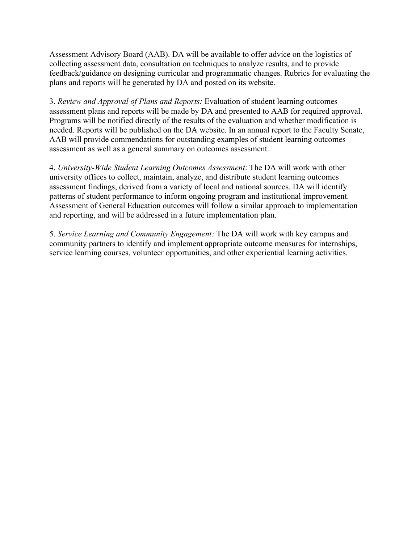Assessment Advisory Board (AAB). DA will be available to offer advice on the logistics of collecting assessment data, consultation on techniques to analyze results, and to provide feedback/guidance on designing curricular and programmatic changes. Rubrics for evaluating the plans and reports will be generated by DA and posted on its website.

3. *Review and Approval of Plans and Reports:* Evaluation of student learning outcomes assessment plans and reports will be made by DA and presented to AAB for required approval. Programs will be notified directly of the results of the evaluation and whether modification is needed. Reports will be published on the DA website. In an annual report to the Faculty Senate, AAB will provide commendations for outstanding examples of student learning outcomes assessment as well as a general summary on outcomes assessment.

4. *University-Wide Student Learning Outcomes Assessment*: The DA will work with other university offices to collect, maintain, analyze, and distribute student learning outcomes assessment findings, derived from a variety of local and national sources. DA will identify patterns of student performance to inform ongoing program and institutional improvement. Assessment of General Education outcomes will follow a similar approach to implementation and reporting, and will be addressed in a future implementation plan.

5. *Service Learning and Community Engagement:* The DA will work with key campus and community partners to identify and implement appropriate outcome measures for internships, service learning courses, volunteer opportunities, and other experiential learning activities.